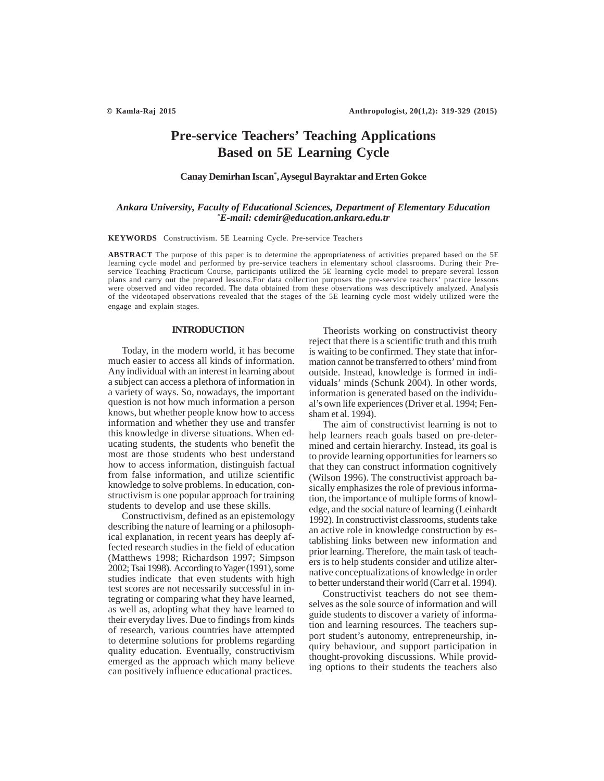# **Pre-service Teachers' Teaching Applications Based on 5E Learning Cycle**

## **Canay Demirhan Iscan\* , Aysegul Bayraktar and Erten Gokce**

## *Ankara University, Faculty of Educational Sciences, Department of Elementary Education \* E-mail: cdemir@education.ankara.edu.tr*

**KEYWORDS** Constructivism. 5E Learning Cycle. Pre-service Teachers

**ABSTRACT** The purpose of this paper is to determine the appropriateness of activities prepared based on the 5E learning cycle model and performed by pre-service teachers in elementary school classrooms. During their Preservice Teaching Practicum Course, participants utilized the 5E learning cycle model to prepare several lesson plans and carry out the prepared lessons.For data collection purposes the pre-service teachers' practice lessons were observed and video recorded. The data obtained from these observations was descriptively analyzed. Analysis of the videotaped observations revealed that the stages of the 5E learning cycle most widely utilized were the engage and explain stages.

## **INTRODUCTION**

Today, in the modern world, it has become much easier to access all kinds of information. Any individual with an interest in learning about a subject can access a plethora of information in a variety of ways. So, nowadays, the important question is not how much information a person knows, but whether people know how to access information and whether they use and transfer this knowledge in diverse situations. When educating students, the students who benefit the most are those students who best understand how to access information, distinguish factual from false information, and utilize scientific knowledge to solve problems. In education, constructivism is one popular approach for training students to develop and use these skills.

Constructivism, defined as an epistemology describing the nature of learning or a philosophical explanation, in recent years has deeply affected research studies in the field of education (Matthews 1998; Richardson 1997; Simpson 2002; Tsai 1998). According to Yager (1991), some studies indicate that even students with high test scores are not necessarily successful in integrating or comparing what they have learned, as well as, adopting what they have learned to their everyday lives. Due to findings from kinds of research, various countries have attempted to determine solutions for problems regarding quality education. Eventually, constructivism emerged as the approach which many believe can positively influence educational practices.

Theorists working on constructivist theory reject that there is a scientific truth and this truth is waiting to be confirmed. They state that information cannot be transferred to others' mind from outside. Instead, knowledge is formed in individuals' minds (Schunk 2004). In other words, information is generated based on the individual's own life experiences (Driver et al. 1994; Fensham et al. 1994).

The aim of constructivist learning is not to help learners reach goals based on pre-determined and certain hierarchy. Instead, its goal is to provide learning opportunities for learners so that they can construct information cognitively (Wilson 1996). The constructivist approach basically emphasizes the role of previous information, the importance of multiple forms of knowledge, and the social nature of learning (Leinhardt 1992). In constructivist classrooms, students take an active role in knowledge construction by establishing links between new information and prior learning. Therefore, the main task of teachers is to help students consider and utilize alternative conceptualizations of knowledge in order to better understand their world (Carr et al. 1994).

Constructivist teachers do not see themselves as the sole source of information and will guide students to discover a variety of information and learning resources. The teachers support student's autonomy, entrepreneurship, inquiry behaviour, and support participation in thought-provoking discussions. While providing options to their students the teachers also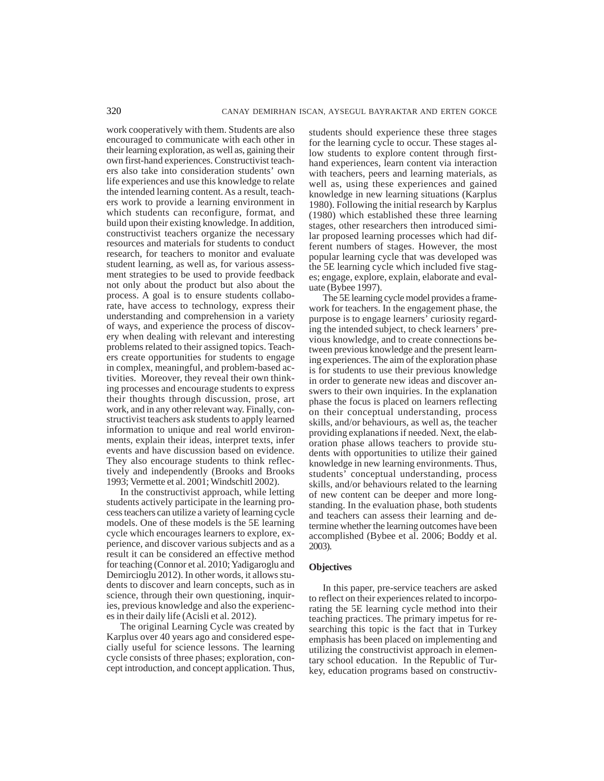work cooperatively with them. Students are also encouraged to communicate with each other in their learning exploration, as well as, gaining their own first-hand experiences. Constructivist teachers also take into consideration students' own life experiences and use this knowledge to relate the intended learning content. As a result, teachers work to provide a learning environment in which students can reconfigure, format, and build upon their existing knowledge. In addition, constructivist teachers organize the necessary resources and materials for students to conduct research, for teachers to monitor and evaluate student learning, as well as, for various assessment strategies to be used to provide feedback not only about the product but also about the process. A goal is to ensure students collaborate, have access to technology, express their understanding and comprehension in a variety of ways, and experience the process of discovery when dealing with relevant and interesting problems related to their assigned topics. Teachers create opportunities for students to engage in complex, meaningful, and problem-based activities. Moreover, they reveal their own thinking processes and encourage students to express their thoughts through discussion, prose, art work, and in any other relevant way. Finally, constructivist teachers ask students to apply learned information to unique and real world environments, explain their ideas, interpret texts, infer events and have discussion based on evidence. They also encourage students to think reflectively and independently (Brooks and Brooks 1993; Vermette et al. 2001; Windschitl 2002).

In the constructivist approach, while letting students actively participate in the learning process teachers can utilize a variety of learning cycle models. One of these models is the 5E learning cycle which encourages learners to explore, experience, and discover various subjects and as a result it can be considered an effective method for teaching (Connor et al. 2010; Yadigaroglu and Demircioglu 2012). In other words, it allows students to discover and learn concepts, such as in science, through their own questioning, inquiries, previous knowledge and also the experiences in their daily life (Acisli et al. 2012).

The original Learning Cycle was created by Karplus over 40 years ago and considered especially useful for science lessons. The learning cycle consists of three phases; exploration, concept introduction, and concept application. Thus,

students should experience these three stages for the learning cycle to occur. These stages allow students to explore content through firsthand experiences, learn content via interaction with teachers, peers and learning materials, as well as, using these experiences and gained knowledge in new learning situations (Karplus 1980). Following the initial research by Karplus (1980) which established these three learning stages, other researchers then introduced similar proposed learning processes which had different numbers of stages. However, the most popular learning cycle that was developed was the 5E learning cycle which included five stages; engage, explore, explain, elaborate and evaluate (Bybee 1997).

The 5E learning cycle model provides a framework for teachers. In the engagement phase, the purpose is to engage learners' curiosity regarding the intended subject, to check learners' previous knowledge, and to create connections between previous knowledge and the present learning experiences. The aim of the exploration phase is for students to use their previous knowledge in order to generate new ideas and discover answers to their own inquiries. In the explanation phase the focus is placed on learners reflecting on their conceptual understanding, process skills, and/or behaviours, as well as, the teacher providing explanations if needed. Next, the elaboration phase allows teachers to provide students with opportunities to utilize their gained knowledge in new learning environments. Thus, students' conceptual understanding, process skills, and/or behaviours related to the learning of new content can be deeper and more longstanding. In the evaluation phase, both students and teachers can assess their learning and determine whether the learning outcomes have been accomplished (Bybee et al. 2006; Boddy et al. 2003).

## **Objectives**

In this paper, pre-service teachers are asked to reflect on their experiences related to incorporating the 5E learning cycle method into their teaching practices. The primary impetus for researching this topic is the fact that in Turkey emphasis has been placed on implementing and utilizing the constructivist approach in elementary school education. In the Republic of Turkey, education programs based on constructiv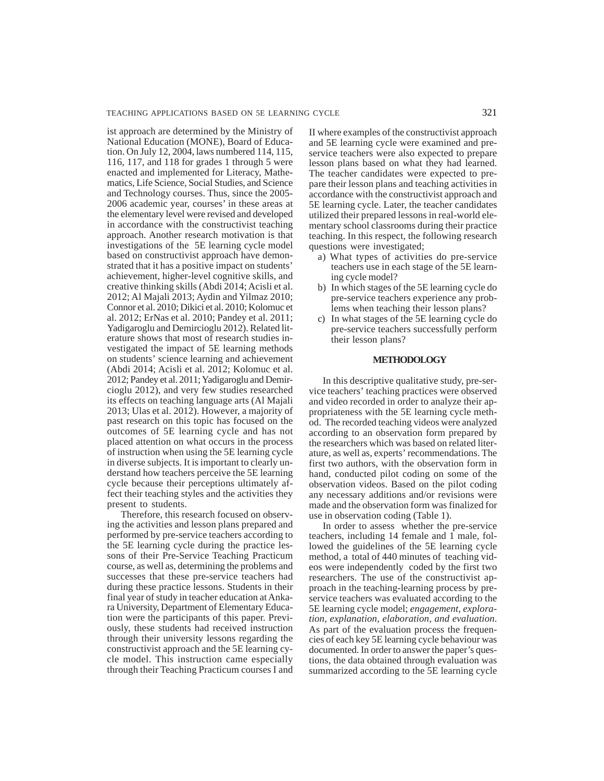ist approach are determined by the Ministry of National Education (MONE), Board of Education. On July 12, 2004, laws numbered 114, 115, 116, 117, and 118 for grades 1 through 5 were enacted and implemented for Literacy, Mathematics, Life Science, Social Studies, and Science and Technology courses. Thus, since the 2005- 2006 academic year, courses' in these areas at the elementary level were revised and developed in accordance with the constructivist teaching approach. Another research motivation is that investigations of the 5E learning cycle model based on constructivist approach have demonstrated that it has a positive impact on students' achievement, higher-level cognitive skills, and creative thinking skills (Abdi 2014; Acisli et al. 2012; Al Majali 2013; Aydin and Yilmaz 2010; Connor et al. 2010; Dikici et al. 2010; Kolomuc et al. 2012; ErNas et al. 2010; Pandey et al. 2011; Yadigaroglu and Demircioglu 2012). Related literature shows that most of research studies investigated the impact of 5E learning methods on students' science learning and achievement (Abdi 2014; Acisli et al. 2012; Kolomuc et al. 2012; Pandey et al. 2011; Yadigaroglu and Demircioglu 2012), and very few studies researched its effects on teaching language arts (Al Majali 2013; Ulas et al. 2012). However, a majority of past research on this topic has focused on the outcomes of 5E learning cycle and has not placed attention on what occurs in the process of instruction when using the 5E learning cycle in diverse subjects. It is important to clearly understand how teachers perceive the 5E learning cycle because their perceptions ultimately affect their teaching styles and the activities they present to students.

Therefore, this research focused on observing the activities and lesson plans prepared and performed by pre-service teachers according to the 5E learning cycle during the practice lessons of their Pre-Service Teaching Practicum course, as well as, determining the problems and successes that these pre-service teachers had during these practice lessons. Students in their final year of study in teacher education at Ankara University, Department of Elementary Education were the participants of this paper. Previously, these students had received instruction through their university lessons regarding the constructivist approach and the 5E learning cycle model. This instruction came especially through their Teaching Practicum courses I and II where examples of the constructivist approach and 5E learning cycle were examined and preservice teachers were also expected to prepare lesson plans based on what they had learned. The teacher candidates were expected to prepare their lesson plans and teaching activities in accordance with the constructivist approach and 5E learning cycle. Later, the teacher candidates utilized their prepared lessons in real-world elementary school classrooms during their practice teaching. In this respect, the following research questions were investigated;

- a) What types of activities do pre-service teachers use in each stage of the 5E learning cycle model?
- b) In which stages of the 5E learning cycle do pre-service teachers experience any problems when teaching their lesson plans?
- c) In what stages of the 5E learning cycle do pre-service teachers successfully perform their lesson plans?

## **METHODOLOGY**

In this descriptive qualitative study, pre-service teachers' teaching practices were observed and video recorded in order to analyze their appropriateness with the 5E learning cycle method. The recorded teaching videos were analyzed according to an observation form prepared by the researchers which was based on related literature, as well as, experts' recommendations. The first two authors, with the observation form in hand, conducted pilot coding on some of the observation videos. Based on the pilot coding any necessary additions and/or revisions were made and the observation form was finalized for use in observation coding (Table 1).

In order to assess whether the pre-service teachers, including 14 female and 1 male, followed the guidelines of the 5E learning cycle method, a total of 440 minutes of teaching videos were independently coded by the first two researchers. The use of the constructivist approach in the teaching-learning process by preservice teachers was evaluated according to the 5E learning cycle model; *engagement, exploration, explanation, elaboration, and evaluation*. As part of the evaluation process the frequencies of each key 5E learning cycle behaviour was documented. In order to answer the paper's questions, the data obtained through evaluation was summarized according to the 5E learning cycle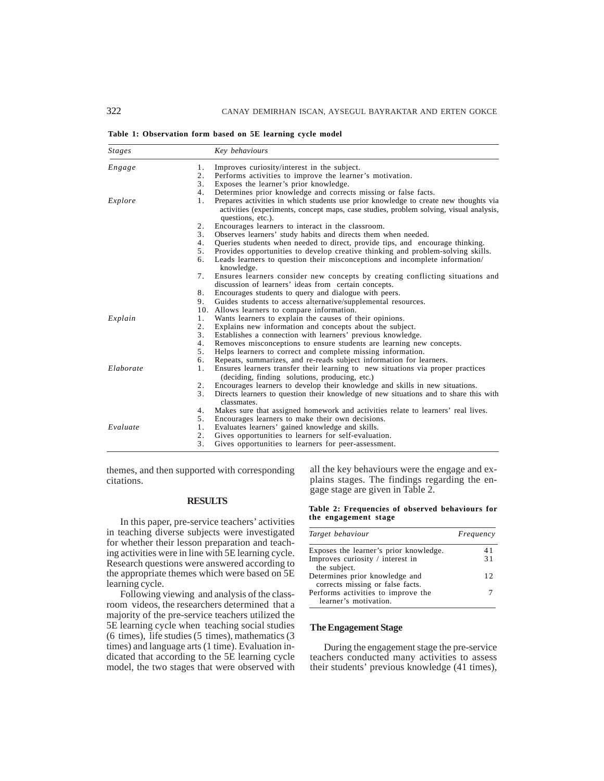**Table 1: Observation form based on 5E learning cycle model**

| <b>Stages</b> |                  | Key behaviours                                                                                                                                                                                      |
|---------------|------------------|-----------------------------------------------------------------------------------------------------------------------------------------------------------------------------------------------------|
| Engage        | 1.               | Improves curiosity/interest in the subject.                                                                                                                                                         |
|               | 2.               | Performs activities to improve the learner's motivation.                                                                                                                                            |
|               | 3.               | Exposes the learner's prior knowledge.                                                                                                                                                              |
|               | 4.               | Determines prior knowledge and corrects missing or false facts.                                                                                                                                     |
| Explore       | 1.               | Prepares activities in which students use prior knowledge to create new thoughts via<br>activities (experiments, concept maps, case studies, problem solving, visual analysis,<br>questions, etc.). |
|               | 2.               | Encourages learners to interact in the classroom.                                                                                                                                                   |
|               | 3.               | Observes learners' study habits and directs them when needed.                                                                                                                                       |
|               | 4.               | Queries students when needed to direct, provide tips, and encourage thinking.                                                                                                                       |
|               | 5.               | Provides opportunities to develop creative thinking and problem-solving skills.                                                                                                                     |
|               | 6.               | Leads learners to question their misconceptions and incomplete information/<br>knowledge.                                                                                                           |
|               | 7.               | Ensures learners consider new concepts by creating conflicting situations and                                                                                                                       |
|               |                  | discussion of learners' ideas from certain concepts.                                                                                                                                                |
|               | 8.               | Encourages students to query and dialogue with peers.                                                                                                                                               |
|               | 9.               | Guides students to access alternative/supplemental resources.                                                                                                                                       |
|               |                  | 10. Allows learners to compare information.                                                                                                                                                         |
| Explain       | 1.               | Wants learners to explain the causes of their opinions.                                                                                                                                             |
|               | $\overline{2}$ . | Explains new information and concepts about the subject.                                                                                                                                            |
|               | 3.               | Establishes a connection with learners' previous knowledge.                                                                                                                                         |
|               | 4.               | Removes misconceptions to ensure students are learning new concepts.                                                                                                                                |
|               | 5.               | Helps learners to correct and complete missing information.                                                                                                                                         |
|               | 6.               | Repeats, summarizes, and re-reads subject information for learners.                                                                                                                                 |
| Elaborate     | 1.               | Ensures learners transfer their learning to new situations via proper practices<br>(deciding, finding solutions, producing, etc.)                                                                   |
|               | 2.               | Encourages learners to develop their knowledge and skills in new situations.                                                                                                                        |
|               | 3.               | Directs learners to question their knowledge of new situations and to share this with<br>classmates.                                                                                                |
|               | 4.               | Makes sure that assigned homework and activities relate to learners' real lives.                                                                                                                    |
|               | 5.               | Encourages learners to make their own decisions.                                                                                                                                                    |
| Evaluate      | 1.               | Evaluates learners' gained knowledge and skills.                                                                                                                                                    |
|               | 2.               | Gives opportunities to learners for self-evaluation.                                                                                                                                                |
|               | 3.               | Gives opportunities to learners for peer-assessment.                                                                                                                                                |

themes, and then supported with corresponding citations.

## **RESULTS**

In this paper, pre-service teachers' activities in teaching diverse subjects were investigated for whether their lesson preparation and teaching activities were in line with 5E learning cycle. Research questions were answered according to the appropriate themes which were based on 5E learning cycle.

Following viewing and analysis of the classroom videos, the researchers determined that a majority of the pre-service teachers utilized the 5E learning cycle when teaching social studies (6 times), life studies (5 times), mathematics (3 times) and language arts (1 time). Evaluation indicated that according to the 5E learning cycle model, the two stages that were observed with

all the key behaviours were the engage and explains stages. The findings regarding the engage stage are given in Table 2.

**Table 2: Frequencies of observed behaviours for the engagement stage**

| Target behaviour                                                   | Frequency |  |
|--------------------------------------------------------------------|-----------|--|
| Exposes the learner's prior knowledge.                             | 41        |  |
| Improves curiosity / interest in<br>the subject.                   | 31        |  |
| Determines prior knowledge and<br>corrects missing or false facts. | 12        |  |
| Performs activities to improve the<br>learner's motivation.        |           |  |

## **The Engagement Stage**

During the engagement stage the pre-service teachers conducted many activities to assess their students' previous knowledge (41 times),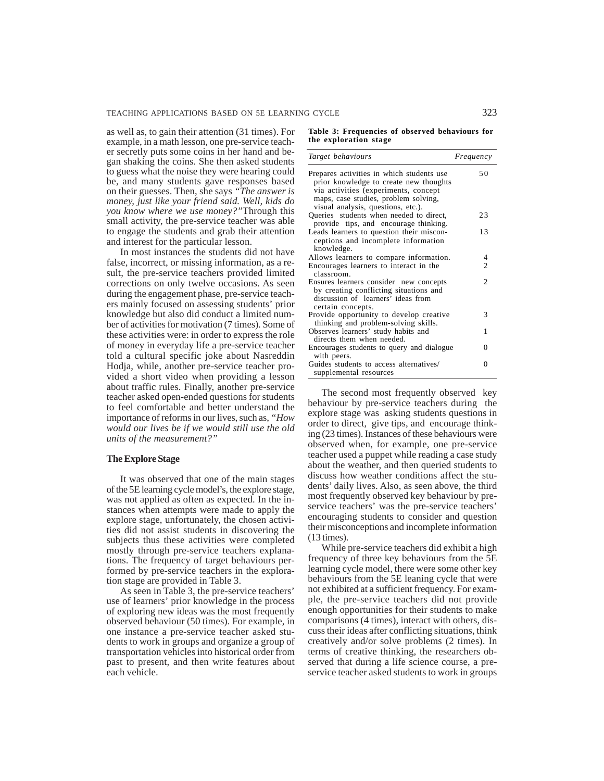as well as, to gain their attention (31 times). For example, in a math lesson, one pre-service teacher secretly puts some coins in her hand and began shaking the coins. She then asked students to guess what the noise they were hearing could be, and many students gave responses based on their guesses. Then, she says *"The answer is money, just like your friend said. Well, kids do you know where we use money?"*Through this small activity, the pre-service teacher was able to engage the students and grab their attention and interest for the particular lesson.

In most instances the students did not have false, incorrect, or missing information, as a result, the pre-service teachers provided limited corrections on only twelve occasions. As seen during the engagement phase, pre-service teachers mainly focused on assessing students' prior knowledge but also did conduct a limited number of activities for motivation (7 times). Some of these activities were: in order to express the role of money in everyday life a pre-service teacher told a cultural specific joke about Nasreddin Hodja, while, another pre-service teacher provided a short video when providing a lesson about traffic rules. Finally, another pre-service teacher asked open-ended questions for students to feel comfortable and better understand the importance of reforms in our lives, such as, *"How would our lives be if we would still use the old units of the measurement?"*

#### **The Explore Stage**

It was observed that one of the main stages of the 5E learning cycle model's, the explore stage, was not applied as often as expected. In the instances when attempts were made to apply the explore stage, unfortunately, the chosen activities did not assist students in discovering the subjects thus these activities were completed mostly through pre-service teachers explanations. The frequency of target behaviours performed by pre-service teachers in the exploration stage are provided in Table 3.

As seen in Table 3, the pre-service teachers' use of learners' prior knowledge in the process of exploring new ideas was the most frequently observed behaviour (50 times). For example, in one instance a pre-service teacher asked students to work in groups and organize a group of transportation vehicles into historical order from past to present, and then write features about each vehicle.

|  |  |                       |  | Table 3: Frequencies of observed behaviours for |  |
|--|--|-----------------------|--|-------------------------------------------------|--|
|  |  | the exploration stage |  |                                                 |  |

| Target behaviours                                                                                                                                                                                         | Frequency      |
|-----------------------------------------------------------------------------------------------------------------------------------------------------------------------------------------------------------|----------------|
| Prepares activities in which students use<br>prior knowledge to create new thoughts<br>via activities (experiments, concept<br>maps, case studies, problem solving,<br>visual analysis, questions, etc.). | 50             |
| Queries students when needed to direct,<br>provide tips, and encourage thinking.                                                                                                                          | 23             |
| Leads learners to question their miscon-<br>ceptions and incomplete information<br>knowledge.                                                                                                             | 13             |
| Allows learners to compare information.                                                                                                                                                                   | 4              |
| Encourages learners to interact in the<br>classroom.                                                                                                                                                      | $\overline{c}$ |
| Ensures learners consider new concepts<br>by creating conflicting situations and<br>discussion of learners' ideas from<br>certain concepts.                                                               | $\mathfrak{D}$ |
| Provide opportunity to develop creative<br>thinking and problem-solving skills.                                                                                                                           | 3              |
| Observes learners' study habits and<br>directs them when needed.                                                                                                                                          | 1              |
| Encourages students to query and dialogue<br>with peers.                                                                                                                                                  | 0              |
| Guides students to access alternatives/<br>supplemental resources                                                                                                                                         | 0              |

The second most frequently observed key behaviour by pre-service teachers during the explore stage was asking students questions in order to direct, give tips, and encourage thinking (23 times). Instances of these behaviours were observed when, for example, one pre-service teacher used a puppet while reading a case study about the weather, and then queried students to discuss how weather conditions affect the students' daily lives. Also, as seen above, the third most frequently observed key behaviour by preservice teachers' was the pre-service teachers' encouraging students to consider and question their misconceptions and incomplete information (13 times).

While pre-service teachers did exhibit a high frequency of three key behaviours from the 5E learning cycle model, there were some other key behaviours from the 5E leaning cycle that were not exhibited at a sufficient frequency. For example, the pre-service teachers did not provide enough opportunities for their students to make comparisons (4 times), interact with others, discuss their ideas after conflicting situations, think creatively and/or solve problems (2 times). In terms of creative thinking, the researchers observed that during a life science course, a preservice teacher asked students to work in groups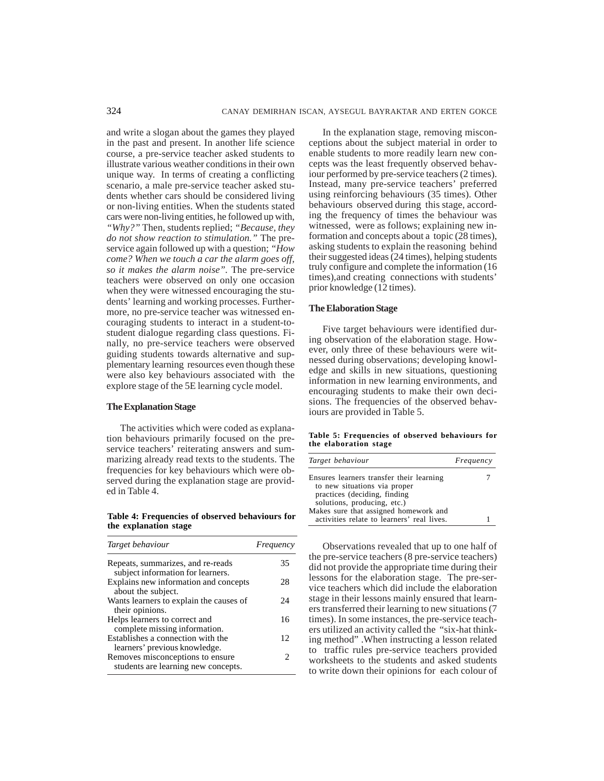and write a slogan about the games they played in the past and present. In another life science course, a pre-service teacher asked students to illustrate various weather conditions in their own unique way. In terms of creating a conflicting scenario, a male pre-service teacher asked students whether cars should be considered living or non-living entities. When the students stated cars were non-living entities, he followed up with, *"Why?"* Then, students replied; *"Because, they do not show reaction to stimulation."* The preservice again followed up with a question; *"How come? When we touch a car the alarm goes off, so it makes the alarm noise".* The pre-service teachers were observed on only one occasion when they were witnessed encouraging the students' learning and working processes. Furthermore, no pre-service teacher was witnessed encouraging students to interact in a student-tostudent dialogue regarding class questions. Finally, no pre-service teachers were observed guiding students towards alternative and supplementary learning resources even though these were also key behaviours associated with the explore stage of the 5E learning cycle model.

## **The Explanation Stage**

The activities which were coded as explanation behaviours primarily focused on the preservice teachers' reiterating answers and summarizing already read texts to the students. The frequencies for key behaviours which were observed during the explanation stage are provided in Table 4.

**Table 4: Frequencies of observed behaviours for the explanation stage**

| Target behaviour                                                        | Frequency       |
|-------------------------------------------------------------------------|-----------------|
| Repeats, summarizes, and re-reads<br>subject information for learners.  | 35              |
| Explains new information and concepts<br>about the subject.             | 28              |
| Wants learners to explain the causes of<br>their opinions.              | 24              |
| Helps learners to correct and<br>complete missing information.          | 16              |
| Establishes a connection with the<br>learners' previous knowledge.      | 12 <sub>1</sub> |
| Removes misconceptions to ensure<br>students are learning new concepts. |                 |

In the explanation stage, removing misconceptions about the subject material in order to enable students to more readily learn new concepts was the least frequently observed behaviour performed by pre-service teachers (2 times). Instead, many pre-service teachers' preferred using reinforcing behaviours (35 times). Other behaviours observed during this stage, according the frequency of times the behaviour was witnessed, were as follows; explaining new information and concepts about a topic (28 times), asking students to explain the reasoning behind their suggested ideas (24 times), helping students truly configure and complete the information (16 times),and creating connections with students' prior knowledge (12 times).

## **The Elaboration Stage**

Five target behaviours were identified during observation of the elaboration stage. However, only three of these behaviours were witnessed during observations; developing knowledge and skills in new situations, questioning information in new learning environments, and encouraging students to make their own decisions. The frequencies of the observed behaviours are provided in Table 5.

**Table 5: Frequencies of observed behaviours for the elaboration stage**

| Target behaviour                           | Frequency |
|--------------------------------------------|-----------|
| Ensures learners transfer their learning   |           |
| to new situations via proper               |           |
| practices (deciding, finding)              |           |
| solutions, producing, etc.)                |           |
| Makes sure that assigned homework and      |           |
| activities relate to learners' real lives. |           |

Observations revealed that up to one half of the pre-service teachers (8 pre-service teachers) did not provide the appropriate time during their lessons for the elaboration stage. The pre-service teachers which did include the elaboration stage in their lessons mainly ensured that learners transferred their learning to new situations (7 times). In some instances, the pre-service teachers utilized an activity called the "six-hat thinking method" .When instructing a lesson related to traffic rules pre-service teachers provided worksheets to the students and asked students to write down their opinions for each colour of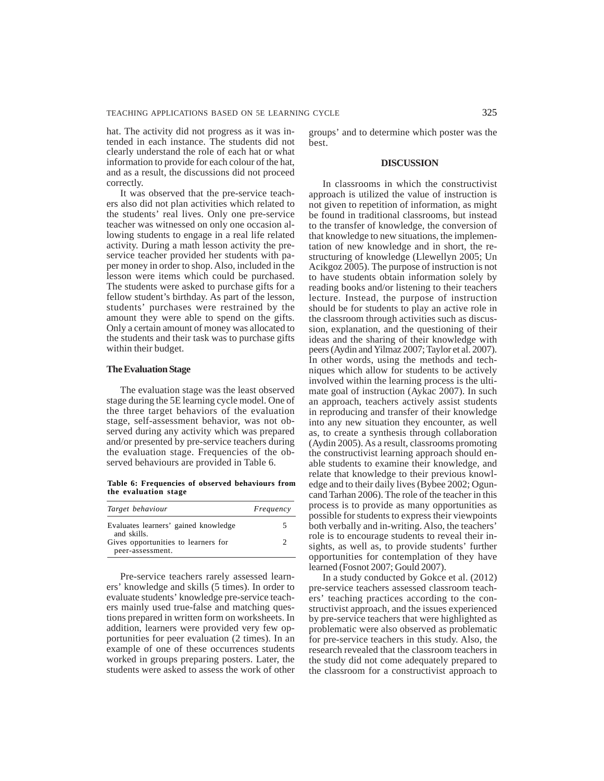hat. The activity did not progress as it was intended in each instance. The students did not clearly understand the role of each hat or what information to provide for each colour of the hat, and as a result, the discussions did not proceed correctly.

It was observed that the pre-service teachers also did not plan activities which related to the students' real lives. Only one pre-service teacher was witnessed on only one occasion allowing students to engage in a real life related activity. During a math lesson activity the preservice teacher provided her students with paper money in order to shop. Also, included in the lesson were items which could be purchased. The students were asked to purchase gifts for a fellow student's birthday. As part of the lesson, students' purchases were restrained by the amount they were able to spend on the gifts. Only a certain amount of money was allocated to the students and their task was to purchase gifts within their budget.

## **The Evaluation Stage**

The evaluation stage was the least observed stage during the 5E learning cycle model. One of the three target behaviors of the evaluation stage, self-assessment behavior, was not observed during any activity which was prepared and/or presented by pre-service teachers during the evaluation stage. Frequencies of the observed behaviours are provided in Table 6.

**Table 6: Frequencies of observed behaviours from the evaluation stage**

| Target behaviour                                        | Frequency |
|---------------------------------------------------------|-----------|
| Evaluates learners' gained knowledge<br>and skills.     |           |
| Gives opportunities to learners for<br>peer-assessment. |           |

Pre-service teachers rarely assessed learners' knowledge and skills (5 times). In order to evaluate students' knowledge pre-service teachers mainly used true-false and matching questions prepared in written form on worksheets. In addition, learners were provided very few opportunities for peer evaluation (2 times). In an example of one of these occurrences students worked in groups preparing posters. Later, the students were asked to assess the work of other groups' and to determine which poster was the best.

## **DISCUSSION**

In classrooms in which the constructivist approach is utilized the value of instruction is not given to repetition of information, as might be found in traditional classrooms, but instead to the transfer of knowledge, the conversion of that knowledge to new situations, the implementation of new knowledge and in short, the restructuring of knowledge (Llewellyn 2005; Un Acikgoz 2005). The purpose of instruction is not to have students obtain information solely by reading books and/or listening to their teachers lecture. Instead, the purpose of instruction should be for students to play an active role in the classroom through activities such as discussion, explanation, and the questioning of their ideas and the sharing of their knowledge with peers (Aydin and Yilmaz 2007; Taylor et al. 2007). In other words, using the methods and techniques which allow for students to be actively involved within the learning process is the ultimate goal of instruction (Aykac 2007). In such an approach, teachers actively assist students in reproducing and transfer of their knowledge into any new situation they encounter, as well as, to create a synthesis through collaboration (Aydin 2005). As a result, classrooms promoting the constructivist learning approach should enable students to examine their knowledge, and relate that knowledge to their previous knowledge and to their daily lives (Bybee 2002; Oguncand Tarhan 2006). The role of the teacher in this process is to provide as many opportunities as possible for students to express their viewpoints both verbally and in-writing. Also, the teachers' role is to encourage students to reveal their insights, as well as, to provide students' further opportunities for contemplation of they have learned (Fosnot 2007; Gould 2007).

In a study conducted by Gokce et al. (2012) pre-service teachers assessed classroom teachers' teaching practices according to the constructivist approach, and the issues experienced by pre-service teachers that were highlighted as problematic were also observed as problematic for pre-service teachers in this study. Also, the research revealed that the classroom teachers in the study did not come adequately prepared to the classroom for a constructivist approach to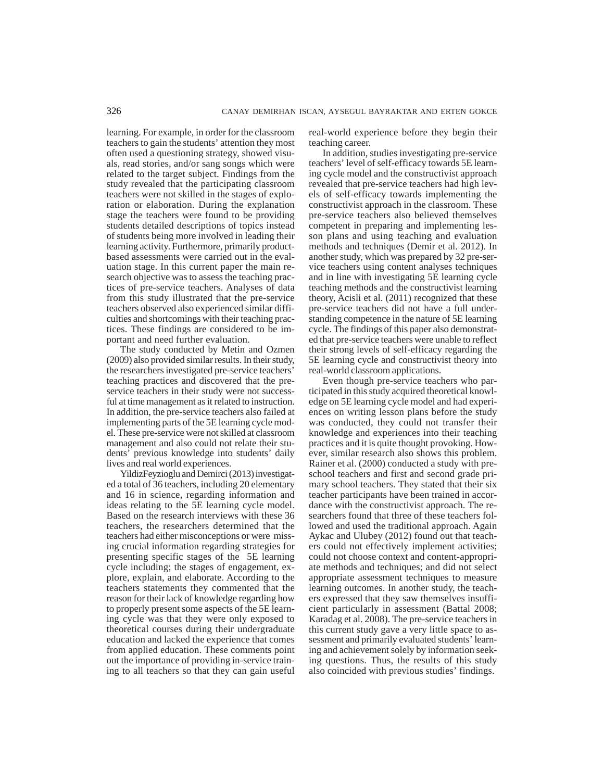learning. For example, in order for the classroom teachers to gain the students' attention they most often used a questioning strategy, showed visuals, read stories, and/or sang songs which were related to the target subject. Findings from the study revealed that the participating classroom teachers were not skilled in the stages of exploration or elaboration. During the explanation stage the teachers were found to be providing students detailed descriptions of topics instead of students being more involved in leading their learning activity. Furthermore, primarily productbased assessments were carried out in the evaluation stage. In this current paper the main research objective was to assess the teaching practices of pre-service teachers. Analyses of data from this study illustrated that the pre-service teachers observed also experienced similar difficulties and shortcomings with their teaching practices. These findings are considered to be important and need further evaluation.

The study conducted by Metin and Ozmen (2009) also provided similar results. In their study, the researchers investigated pre-service teachers' teaching practices and discovered that the preservice teachers in their study were not successful at time management as it related to instruction. In addition, the pre-service teachers also failed at implementing parts of the 5E learning cycle model. These pre-service were not skilled at classroom management and also could not relate their students' previous knowledge into students' daily lives and real world experiences.

YildizFeyzioglu and Demirci (2013) investigated a total of 36 teachers, including 20 elementary and 16 in science, regarding information and ideas relating to the 5E learning cycle model. Based on the research interviews with these 36 teachers, the researchers determined that the teachers had either misconceptions or were missing crucial information regarding strategies for presenting specific stages of the 5E learning cycle including; the stages of engagement, explore, explain, and elaborate. According to the teachers statements they commented that the reason for their lack of knowledge regarding how to properly present some aspects of the 5E learning cycle was that they were only exposed to theoretical courses during their undergraduate education and lacked the experience that comes from applied education. These comments point out the importance of providing in-service training to all teachers so that they can gain useful real-world experience before they begin their teaching career.

In addition, studies investigating pre-service teachers' level of self-efficacy towards 5E learning cycle model and the constructivist approach revealed that pre-service teachers had high levels of self-efficacy towards implementing the constructivist approach in the classroom. These pre-service teachers also believed themselves competent in preparing and implementing lesson plans and using teaching and evaluation methods and techniques (Demir et al. 2012). In another study, which was prepared by 32 pre-service teachers using content analyses techniques and in line with investigating 5E learning cycle teaching methods and the constructivist learning theory, Acisli et al. (2011) recognized that these pre-service teachers did not have a full understanding competence in the nature of 5E learning cycle. The findings of this paper also demonstrated that pre-service teachers were unable to reflect their strong levels of self-efficacy regarding the 5E learning cycle and constructivist theory into real-world classroom applications.

Even though pre-service teachers who participated in this study acquired theoretical knowledge on 5E learning cycle model and had experiences on writing lesson plans before the study was conducted, they could not transfer their knowledge and experiences into their teaching practices and it is quite thought provoking. However, similar research also shows this problem. Rainer et al. (2000) conducted a study with preschool teachers and first and second grade primary school teachers. They stated that their six teacher participants have been trained in accordance with the constructivist approach. The researchers found that three of these teachers followed and used the traditional approach. Again Aykac and Ulubey (2012) found out that teachers could not effectively implement activities; could not choose context and content-appropriate methods and techniques; and did not select appropriate assessment techniques to measure learning outcomes. In another study, the teachers expressed that they saw themselves insufficient particularly in assessment (Battal 2008; Karadag et al. 2008). The pre-service teachers in this current study gave a very little space to assessment and primarily evaluated students' learning and achievement solely by information seeking questions. Thus, the results of this study also coincided with previous studies' findings.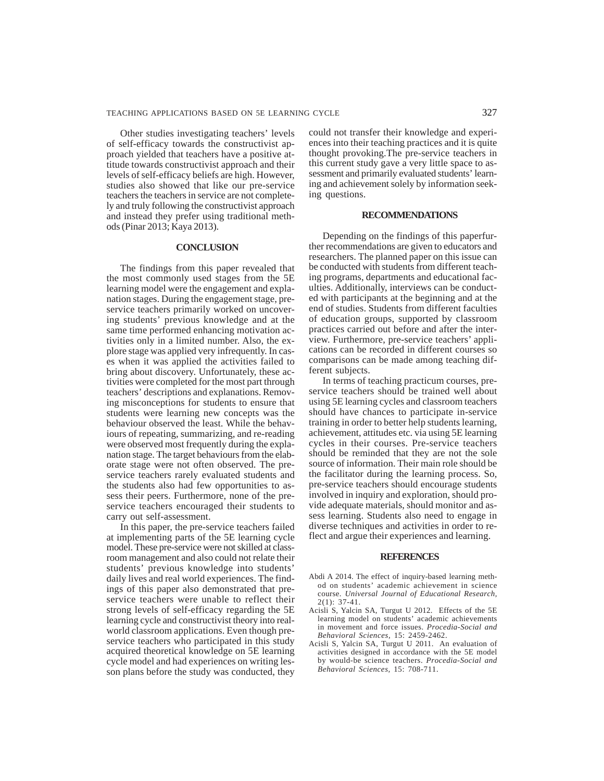Other studies investigating teachers' levels of self-efficacy towards the constructivist approach yielded that teachers have a positive attitude towards constructivist approach and their levels of self-efficacy beliefs are high. However, studies also showed that like our pre-service teachers the teachers in service are not completely and truly following the constructivist approach and instead they prefer using traditional methods (Pinar 2013; Kaya 2013).

## **CONCLUSION**

The findings from this paper revealed that the most commonly used stages from the 5E learning model were the engagement and explanation stages. During the engagement stage, preservice teachers primarily worked on uncovering students' previous knowledge and at the same time performed enhancing motivation activities only in a limited number. Also, the explore stage was applied very infrequently. In cases when it was applied the activities failed to bring about discovery. Unfortunately, these activities were completed for the most part through teachers' descriptions and explanations. Removing misconceptions for students to ensure that students were learning new concepts was the behaviour observed the least. While the behaviours of repeating, summarizing, and re-reading were observed most frequently during the explanation stage. The target behaviours from the elaborate stage were not often observed. The preservice teachers rarely evaluated students and the students also had few opportunities to assess their peers. Furthermore, none of the preservice teachers encouraged their students to carry out self-assessment.

In this paper, the pre-service teachers failed at implementing parts of the 5E learning cycle model. These pre-service were not skilled at classroom management and also could not relate their students' previous knowledge into students' daily lives and real world experiences. The findings of this paper also demonstrated that preservice teachers were unable to reflect their strong levels of self-efficacy regarding the 5E learning cycle and constructivist theory into realworld classroom applications. Even though preservice teachers who participated in this study acquired theoretical knowledge on 5E learning cycle model and had experiences on writing lesson plans before the study was conducted, they

could not transfer their knowledge and experiences into their teaching practices and it is quite thought provoking.The pre-service teachers in this current study gave a very little space to assessment and primarily evaluated students' learning and achievement solely by information seeking questions.

#### **RECOMMENDATIONS**

Depending on the findings of this paperfurther recommendations are given to educators and researchers. The planned paper on this issue can be conducted with students from different teaching programs, departments and educational faculties. Additionally, interviews can be conducted with participants at the beginning and at the end of studies. Students from different faculties of education groups, supported by classroom practices carried out before and after the interview. Furthermore, pre-service teachers' applications can be recorded in different courses so comparisons can be made among teaching different subjects.

In terms of teaching practicum courses, preservice teachers should be trained well about using 5E learning cycles and classroom teachers should have chances to participate in-service training in order to better help students learning, achievement, attitudes etc. via using 5E learning cycles in their courses. Pre-service teachers should be reminded that they are not the sole source of information. Their main role should be the facilitator during the learning process. So, pre-service teachers should encourage students involved in inquiry and exploration, should provide adequate materials, should monitor and assess learning. Students also need to engage in diverse techniques and activities in order to reflect and argue their experiences and learning.

#### **REFERENCES**

- Abdi A 2014. The effect of inquiry-based learning method on students' academic achievement in science course. *Universal Journal of Educational Research,*  $2(1): 37-41.$
- Acisli S, Yalcin SA, Turgut U 2012. Effects of the 5E learning model on students' academic achievements in movement and force issues. *Procedia-Social and Behavioral Sciences,* 15: 2459-2462.
- Acisli S, Yalcin SA, Turgut U 2011. An evaluation of activities designed in accordance with the 5E model by would-be science teachers. *Procedia-Social and Behavioral Sciences,* 15: 708-711.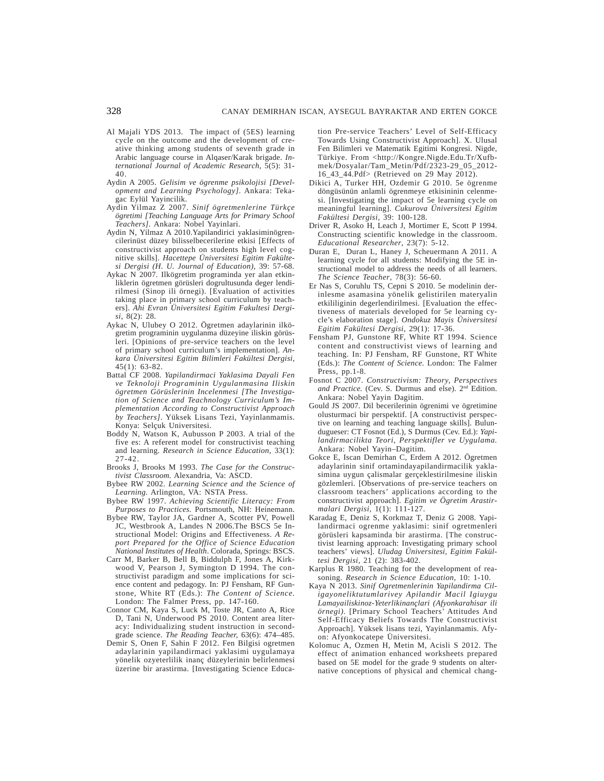- Al Majali YDS 2013. The impact of (5ES) learning cycle on the outcome and the development of creative thinking among students of seventh grade in Arabic language course in Alqaser/Karak brigade. *International Journal of Academic Research,* 5(5): 31- 40.
- Aydin A 2005. *Gelisim ve ögrenme psikolojisi [Development and Learning Psychology].* Ankara: Tekagac Eylül Yayincilik.
- Aydin Yilmaz Z 2007. *Sinif ögretmenlerine Türkçe ögretimi [Teaching Language Arts for Primary School Teachers].* Ankara: Nobel Yayinlari.
- Aydin N, Yilmaz A 2010.Yapilandirici yaklasiminögrencilerinüst düzey bilisselbecerilerine etkisi [Effects of constructivist approach on students high level cognitive skills]. *Hacettepe Üniversitesi Egitim Fakültesi Dergisi (H. U. Journal of Education),* 39: 57-68.
- Aykac N 2007. Ilkögretim programinda yer alan etkinliklerin ögretmen görüsleri dogrultusunda deger lendirilmesi (Sinop ili örnegi). [Evaluation of activities taking place in primary school curriculum by teachers]. *Ahi Evran Üniversitesi Egitim Fakultesi Dergisi*, 8(2): 28.
- Aykac N, Ulubey O 2012. Ögretmen adaylarinin ilkögretim programinin uygulanma düzeyine iliskin görüsleri. [Opinions of pre-service teachers on the level of primary school curriculum's implementation]. *Ankara Üniversitesi Egitim Bilimleri Fakültesi Dergisi,* 45(1): 63-82.
- Battal CF 2008. *Yapilandirmaci Yaklasima Dayali Fen ve Teknoloji Programinin Uygulanmasina Iliskin ögretmen Görüslerinin Incelenmesi [The Investigation of Science and Teachnology Curriculum's Implementation According to Constructivist Approach by Teachers]*. Yüksek Lisans Tezi, Yayinlanmamis. Konya: Selçuk Universitesi.
- Boddy N, Watson K, Aubusson P 2003. A trial of the five es: A referent model for constructivist teaching and learning. *Research in Science Education,* 33(1): 27-42.
- Brooks J, Brooks M 1993. *The Case for the Constructivist Classroom.* Alexandria, Va: ASCD.
- Bybee RW 2002. *Learning Science and the Science of Learning.* Arlington, VA: NSTA Press.
- Bybee RW 1997. *Achieving Scientific Literacy: From Purposes to Practices.* Portsmouth, NH: Heinemann.
- Bybee RW, Taylor JA, Gardner A, Scotter PV, Powell JC, Westbrook A, Landes N 2006.The BSCS 5e Instructional Model: Origins and Effectiveness. *A Report Prepared for the Office of Science Education National Institutes of Health*. Colorada, Springs: BSCS.
- Carr M, Barker B, Bell B, Biddulph F, Jones A, Kirkwood V, Pearson J, Symington D 1994. The constructivist paradigm and some implications for science content and pedagogy. In: PJ Fensham, RF Gunstone, White RT (Eds.): *The Content of Science.* London: The Falmer Press, pp. 147-160.
- Connor CM, Kaya S, Luck M, Toste JR, Canto A, Rice D, Tani N, Underwood PS 2010. Content area literacy: Individualizing student instruction in secondgrade science. *The Reading Teacher,* 63(6): 474–485.
- Demir S, Onen F, Sahin F 2012. Fen Bilgisi ogretmen adaylarinin yapilandirmaci yaklasimi uygulamaya yönelik ozyeterlilik inanç düzeylerinin belirlenmesi üzerine bir arastirma. [Investigating Science Educa-

tion Pre-service Teachers' Level of Self-Efficacy Towards Using Constructivist Approach]. X. Ulusal Fen Bilimleri ve Matematik Egitimi Kongresi. Nigde, Türkiye. From <http://Kongre.Nigde.Edu.Tr/Xufbmek/Dosyalar/Tam\_Metin/Pdf/2323-29\_05\_2012- 16\_43\_44.Pdf> (Retrieved on 29 May 2012).

- Dikici A, Turker HH, Ozdemir G 2010. 5e ögrenme döngüsünün anlamli ögrenmeye etkisininin celenmesi. [Investigating the impact of 5e learning cycle on meaningful learning]. *Cukurova Üniversitesi Egitim Fakültesi Dergisi,* 39: 100-128.
- Driver R, Asoko H, Leach J, Mortimer E, Scott P 1994. Constructing scientific knowledge in the classroom. *Educational Researcher*, 23(7): 5-12.
- Duran E, Duran L, Haney J, Scheuermann A 2011. A learning cycle for all students: Modifying the 5E instructional model to address the needs of all learners. *The Science Teacher*, 78(3): 56-60.
- Er Nas S, Coruhlu TS, Cepni S 2010. 5e modelinin derinlesme asamasina yönelik gelistirilen materyalin etkililiginin degerlendirilmesi. [Evaluation the effectiveness of materials developed for 5e learning cycle's elaboration stage]. *Ondokuz Mayis Üniversitesi Egitim Fakültesi Dergisi,* 29(1): 17-36.
- Fensham PJ, Gunstone RF, White RT 1994. Science content and constructivist views of learning and teaching. In: PJ Fensham, RF Gunstone, RT White (Eds.): *The Content of Science*. London: The Falmer Press, pp.1-8.
- Fosnot C 2007. *Constructivism: Theory, Perspectives* and Practice. (Cev. S. Durmus and else). 2<sup>nd</sup> Edition. Ankara: Nobel Yayin Dagitim.
- Gould JS 2007. Dil becerilerinin ögrenimi ve ögretimine olusturmaci bir perspektif. [A constructivist perspective on learning and teaching language skills]. Bulundugueser: CT Fosnot (Ed.), S Durmus (Cev. Ed.): *Yapilandirmacilikta Teori, Perspektifler ve Uygulama.* Ankara: Nobel Yayin–Dagitim.
- Gokce E, Iscan Demirhan C, Erdem A 2012. Ögretmen adaylarinin sinif ortamindayapilandirmacilik yaklasimina uygun çalismalar gerçeklestirilmesine iliskin gözlemleri. [Observations of pre-service teachers on classroom teachers' applications according to the constructivist approach]. *Egitim ve Ögretim Arastirmalari Dergisi,* 1(1): 111-127.
- Karadag E, Deniz S, Korkmaz T, Deniz G 2008. Yapilandirmaci ogrenme yaklasimi: sinif ogretmenleri görüsleri kapsaminda bir arastirma. [The constructivist learning approach: Investigating primary school teachers' views]. *Uludag Üniversitesi, Egitim Fakültesi Dergisi,* 21 (2): 383-402.
- Karplus R 1980. Teaching for the development of reasoning. *Research in Science Education,* 10: 1-10.
- Kaya N 2013. *Sinif Ogretmenlerinin Yapilandirma Ciligayoneliktutumlarivey Apilandir Macil Igiuygu Lamayailiskinoz-Yeterlikinançlari (Afyonkarahisar ili örnegi).* [Primary School Teachers' Attitudes And Self-Efficacy Beliefs Towards The Constructivist Approach]. Yüksek lisans tezi, Yayinlanmamis. Afyon: Afyonkocatepe Üniversitesi.
- Kolomuc A, Ozmen H, Metin M, Acisli S 2012. The effect of animation enhanced worksheets prepared based on 5E model for the grade 9 students on alternative conceptions of physical and chemical chang-